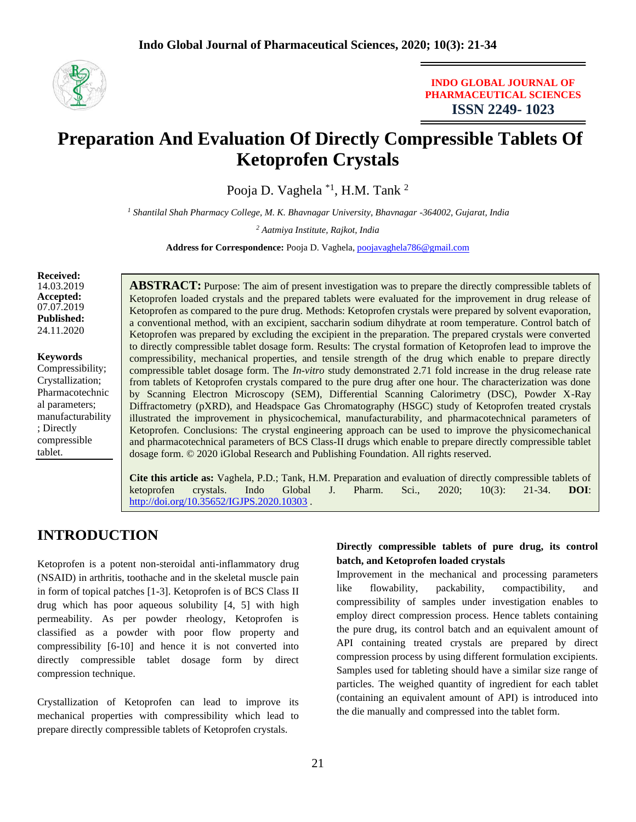

## **INDO GLOBAL JOURNAL OF PHARMACEUTICAL SCIENCES ISSN 2249- 1023**

# **Preparation And Evaluation Of Directly Compressible Tablets Of Ketoprofen Crystals**

Pooja D. Vaghela \*1, H.M. Tank <sup>2</sup>

*<sup>1</sup> Shantilal Shah Pharmacy College, M. K. Bhavnagar University, Bhavnagar -364002, Gujarat, India* 

*<sup>2</sup> Aatmiya Institute, Rajkot, India*

**Address for Correspondence:** Pooja D. Vaghela, [poojavaghela786@gmail.com](mailto:poojavaghela786@gmail.com)

**Received:**  14.03.2019 **Accepted:**  07.07.2019 **Published:** 24.11.2020

**Keywords** Compressibility; Crystallization; Pharmacotechnic al parameters; manufacturability ; Directly compressible tablet.

**ABSTRACT:** Purpose: The aim of present investigation was to prepare the directly compressible tablets of Ketoprofen loaded crystals and the prepared tablets were evaluated for the improvement in drug release of Ketoprofen as compared to the pure drug. Methods: Ketoprofen crystals were prepared by solvent evaporation, a conventional method, with an excipient, saccharin sodium dihydrate at room temperature. Control batch of Ketoprofen was prepared by excluding the excipient in the preparation. The prepared crystals were converted to directly compressible tablet dosage form. Results: The crystal formation of Ketoprofen lead to improve the compressibility, mechanical properties, and tensile strength of the drug which enable to prepare directly compressible tablet dosage form. The *In-vitro* study demonstrated 2.71 fold increase in the drug release rate from tablets of Ketoprofen crystals compared to the pure drug after one hour. The characterization was done by Scanning Electron Microscopy (SEM), Differential Scanning Calorimetry (DSC), Powder X-Ray Diffractometry (pXRD), and Headspace Gas Chromatography (HSGC) study of Ketoprofen treated crystals illustrated the improvement in physicochemical, manufacturability, and pharmacotechnical parameters of Ketoprofen. Conclusions: The crystal engineering approach can be used to improve the physicomechanical and pharmacotechnical parameters of BCS Class-II drugs which enable to prepare directly compressible tablet dosage form. © 2020 iGlobal Research and Publishing Foundation. All rights reserved.

**Cite this article as:** Vaghela, P.D.; Tank, H.M. Preparation and evaluation of directly compressible tablets of ketoprofen crystals. Indo Global J. Pharm. Sci., 2020; 10(3): 21-34. **DOI**: <http://doi.org/10.35652/IGJPS.2020.10303>.

## **INTRODUCTION**

Ketoprofen is a potent non-steroidal anti-inflammatory drug (NSAID) in arthritis, toothache and in the skeletal muscle pain in form of topical patches [1-3]. Ketoprofen is of BCS Class II drug which has poor aqueous solubility [4, 5] with high permeability. As per powder rheology, Ketoprofen is classified as a powder with poor flow property and compressibility [6-10] and hence it is not converted into directly compressible tablet dosage form by direct compression technique.

Crystallization of Ketoprofen can lead to improve its mechanical properties with compressibility which lead to prepare directly compressible tablets of Ketoprofen crystals.

## **Directly compressible tablets of pure drug, its control batch, and Ketoprofen loaded crystals**

Improvement in the mechanical and processing parameters like flowability, packability, compactibility, and compressibility of samples under investigation enables to employ direct compression process. Hence tablets containing the pure drug, its control batch and an equivalent amount of API containing treated crystals are prepared by direct compression process by using different formulation excipients. Samples used for tableting should have a similar size range of particles. The weighed quantity of ingredient for each tablet (containing an equivalent amount of API) is introduced into the die manually and compressed into the tablet form.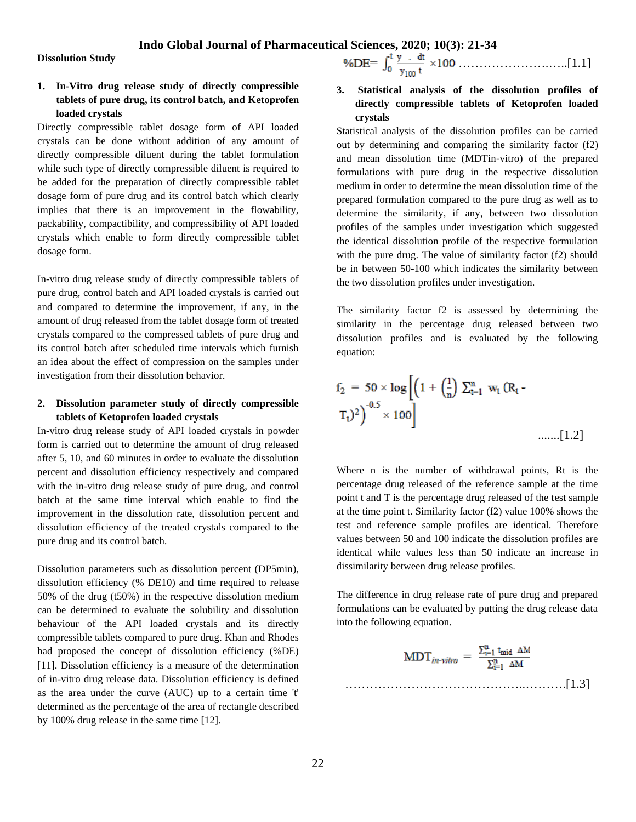**Dissolution Study**

## **1. In-Vitro drug release study of directly compressible tablets of pure drug, its control batch, and Ketoprofen loaded crystals**

Directly compressible tablet dosage form of API loaded crystals can be done without addition of any amount of directly compressible diluent during the tablet formulation while such type of directly compressible diluent is required to be added for the preparation of directly compressible tablet dosage form of pure drug and its control batch which clearly implies that there is an improvement in the flowability, packability, compactibility, and compressibility of API loaded crystals which enable to form directly compressible tablet dosage form.

In-vitro drug release study of directly compressible tablets of pure drug, control batch and API loaded crystals is carried out and compared to determine the improvement, if any, in the amount of drug released from the tablet dosage form of treated crystals compared to the compressed tablets of pure drug and its control batch after scheduled time intervals which furnish an idea about the effect of compression on the samples under investigation from their dissolution behavior.

## **2. Dissolution parameter study of directly compressible tablets of Ketoprofen loaded crystals**

In-vitro drug release study of API loaded crystals in powder form is carried out to determine the amount of drug released after 5, 10, and 60 minutes in order to evaluate the dissolution percent and dissolution efficiency respectively and compared with the in-vitro drug release study of pure drug, and control batch at the same time interval which enable to find the improvement in the dissolution rate, dissolution percent and dissolution efficiency of the treated crystals compared to the pure drug and its control batch.

Dissolution parameters such as dissolution percent (DP5min), dissolution efficiency (% DE10) and time required to release 50% of the drug (t50%) in the respective dissolution medium can be determined to evaluate the solubility and dissolution behaviour of the API loaded crystals and its directly compressible tablets compared to pure drug. Khan and Rhodes had proposed the concept of dissolution efficiency (%DE) [11]. Dissolution efficiency is a measure of the determination of in-vitro drug release data. Dissolution efficiency is defined as the area under the curve (AUC) up to a certain time 't' determined as the percentage of the area of rectangle described by 100% drug release in the same time [12].

………………….…..[1.1]

**3. Statistical analysis of the dissolution profiles of directly compressible tablets of Ketoprofen loaded crystals**

Statistical analysis of the dissolution profiles can be carried out by determining and comparing the similarity factor (f2) and mean dissolution time (MDTin-vitro) of the prepared formulations with pure drug in the respective dissolution medium in order to determine the mean dissolution time of the prepared formulation compared to the pure drug as well as to determine the similarity, if any, between two dissolution profiles of the samples under investigation which suggested the identical dissolution profile of the respective formulation with the pure drug. The value of similarity factor (f2) should be in between 50-100 which indicates the similarity between the two dissolution profiles under investigation.

The similarity factor f2 is assessed by determining the similarity in the percentage drug released between two dissolution profiles and is evaluated by the following equation:

$$
f_2 = 50 \times \log \left[ \left( 1 + \left( \frac{1}{n} \right) \sum_{t=1}^{n} w_t (R_t - T_t)^2 \right)^{-0.5} \times 100 \right]
$$
 ......[1.2]

Where n is the number of withdrawal points, Rt is the percentage drug released of the reference sample at the time point t and T is the percentage drug released of the test sample at the time point t. Similarity factor (f2) value 100% shows the test and reference sample profiles are identical. Therefore values between 50 and 100 indicate the dissolution profiles are identical while values less than 50 indicate an increase in dissimilarity between drug release profiles.

The difference in drug release rate of pure drug and prepared formulations can be evaluated by putting the drug release data into the following equation.

$$
\text{MDT}_{in\text{-vitro}} = \frac{\sum_{i=1}^{n} t_{\text{mid}} \Delta M}{\sum_{i=1}^{n} \Delta M}
$$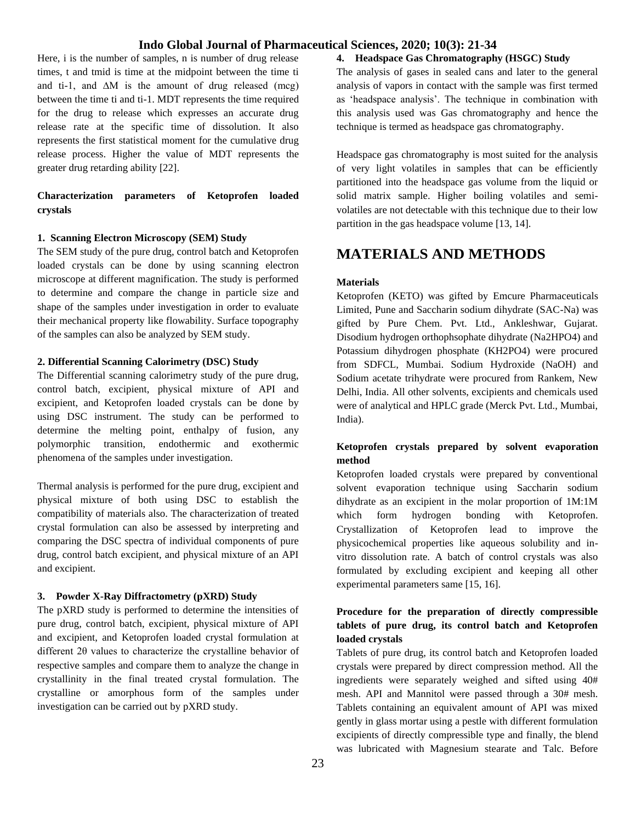Here, i is the number of samples, n is number of drug release times, t and tmid is time at the midpoint between the time ti and ti-1, and ∆M is the amount of drug released (mcg) between the time ti and ti-1. MDT represents the time required for the drug to release which expresses an accurate drug release rate at the specific time of dissolution. It also represents the first statistical moment for the cumulative drug release process. Higher the value of MDT represents the greater drug retarding ability [22].

## **Characterization parameters of Ketoprofen loaded crystals**

#### **1. Scanning Electron Microscopy (SEM) Study**

The SEM study of the pure drug, control batch and Ketoprofen loaded crystals can be done by using scanning electron microscope at different magnification. The study is performed to determine and compare the change in particle size and shape of the samples under investigation in order to evaluate their mechanical property like flowability. Surface topography of the samples can also be analyzed by SEM study.

#### **2. Differential Scanning Calorimetry (DSC) Study**

The Differential scanning calorimetry study of the pure drug, control batch, excipient, physical mixture of API and excipient, and Ketoprofen loaded crystals can be done by using DSC instrument. The study can be performed to determine the melting point, enthalpy of fusion, any polymorphic transition, endothermic and exothermic phenomena of the samples under investigation.

Thermal analysis is performed for the pure drug, excipient and physical mixture of both using DSC to establish the compatibility of materials also. The characterization of treated crystal formulation can also be assessed by interpreting and comparing the DSC spectra of individual components of pure drug, control batch excipient, and physical mixture of an API and excipient.

#### **3. Powder X-Ray Diffractometry (pXRD) Study**

The pXRD study is performed to determine the intensities of pure drug, control batch, excipient, physical mixture of API and excipient, and Ketoprofen loaded crystal formulation at different 2θ values to characterize the crystalline behavior of respective samples and compare them to analyze the change in crystallinity in the final treated crystal formulation. The crystalline or amorphous form of the samples under investigation can be carried out by pXRD study.

## **4. Headspace Gas Chromatography (HSGC) Study**

The analysis of gases in sealed cans and later to the general analysis of vapors in contact with the sample was first termed as 'headspace analysis'. The technique in combination with this analysis used was Gas chromatography and hence the technique is termed as headspace gas chromatography.

Headspace gas chromatography is most suited for the analysis of very light volatiles in samples that can be efficiently partitioned into the headspace gas volume from the liquid or solid matrix sample. Higher boiling volatiles and semivolatiles are not detectable with this technique due to their low partition in the gas headspace volume [13, 14].

## **MATERIALS AND METHODS**

#### **Materials**

Ketoprofen (KETO) was gifted by Emcure Pharmaceuticals Limited, Pune and Saccharin sodium dihydrate (SAC-Na) was gifted by Pure Chem. Pvt. Ltd., Ankleshwar, Gujarat. Disodium hydrogen orthophsophate dihydrate (Na2HPO4) and Potassium dihydrogen phosphate (KH2PO4) were procured from SDFCL, Mumbai. Sodium Hydroxide (NaOH) and Sodium acetate trihydrate were procured from Rankem, New Delhi, India. All other solvents, excipients and chemicals used were of analytical and HPLC grade (Merck Pvt. Ltd., Mumbai, India).

## **Ketoprofen crystals prepared by solvent evaporation method**

Ketoprofen loaded crystals were prepared by conventional solvent evaporation technique using Saccharin sodium dihydrate as an excipient in the molar proportion of 1M:1M which form hydrogen bonding with Ketoprofen. Crystallization of Ketoprofen lead to improve the physicochemical properties like aqueous solubility and invitro dissolution rate. A batch of control crystals was also formulated by excluding excipient and keeping all other experimental parameters same [15, 16].

## **Procedure for the preparation of directly compressible tablets of pure drug, its control batch and Ketoprofen loaded crystals**

Tablets of pure drug, its control batch and Ketoprofen loaded crystals were prepared by direct compression method. All the ingredients were separately weighed and sifted using 40# mesh. API and Mannitol were passed through a 30# mesh. Tablets containing an equivalent amount of API was mixed gently in glass mortar using a pestle with different formulation excipients of directly compressible type and finally, the blend was lubricated with Magnesium stearate and Talc. Before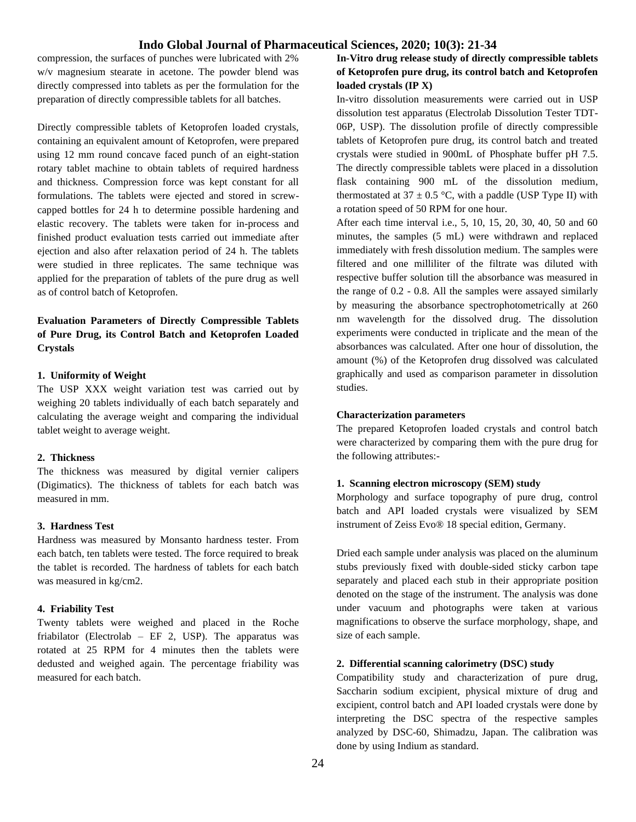compression, the surfaces of punches were lubricated with 2% w/v magnesium stearate in acetone. The powder blend was directly compressed into tablets as per the formulation for the preparation of directly compressible tablets for all batches.

Directly compressible tablets of Ketoprofen loaded crystals, containing an equivalent amount of Ketoprofen, were prepared using 12 mm round concave faced punch of an eight-station rotary tablet machine to obtain tablets of required hardness and thickness. Compression force was kept constant for all formulations. The tablets were ejected and stored in screwcapped bottles for 24 h to determine possible hardening and elastic recovery. The tablets were taken for in-process and finished product evaluation tests carried out immediate after ejection and also after relaxation period of 24 h. The tablets were studied in three replicates. The same technique was applied for the preparation of tablets of the pure drug as well as of control batch of Ketoprofen.

## **Evaluation Parameters of Directly Compressible Tablets of Pure Drug, its Control Batch and Ketoprofen Loaded Crystals**

## **1. Uniformity of Weight**

The USP XXX weight variation test was carried out by weighing 20 tablets individually of each batch separately and calculating the average weight and comparing the individual tablet weight to average weight.

#### **2. Thickness**

The thickness was measured by digital vernier calipers (Digimatics). The thickness of tablets for each batch was measured in mm.

#### **3. Hardness Test**

Hardness was measured by Monsanto hardness tester. From each batch, ten tablets were tested. The force required to break the tablet is recorded. The hardness of tablets for each batch was measured in kg/cm2.

#### **4. Friability Test**

Twenty tablets were weighed and placed in the Roche friabilator (Electrolab – EF 2, USP). The apparatus was rotated at 25 RPM for 4 minutes then the tablets were dedusted and weighed again. The percentage friability was measured for each batch.

## **In-Vitro drug release study of directly compressible tablets of Ketoprofen pure drug, its control batch and Ketoprofen loaded crystals (IP X)**

In-vitro dissolution measurements were carried out in USP dissolution test apparatus (Electrolab Dissolution Tester TDT-06P, USP). The dissolution profile of directly compressible tablets of Ketoprofen pure drug, its control batch and treated crystals were studied in 900mL of Phosphate buffer pH 7.5. The directly compressible tablets were placed in a dissolution flask containing 900 mL of the dissolution medium, thermostated at 37  $\pm$  0.5 °C, with a paddle (USP Type II) with a rotation speed of 50 RPM for one hour.

After each time interval i.e., 5, 10, 15, 20, 30, 40, 50 and 60 minutes, the samples (5 mL) were withdrawn and replaced immediately with fresh dissolution medium. The samples were filtered and one milliliter of the filtrate was diluted with respective buffer solution till the absorbance was measured in the range of 0.2 - 0.8. All the samples were assayed similarly by measuring the absorbance spectrophotometrically at 260 nm wavelength for the dissolved drug. The dissolution experiments were conducted in triplicate and the mean of the absorbances was calculated. After one hour of dissolution, the amount (%) of the Ketoprofen drug dissolved was calculated graphically and used as comparison parameter in dissolution studies.

#### **Characterization parameters**

The prepared Ketoprofen loaded crystals and control batch were characterized by comparing them with the pure drug for the following attributes:-

#### **1. Scanning electron microscopy (SEM) study**

Morphology and surface topography of pure drug, control batch and API loaded crystals were visualized by SEM instrument of Zeiss Evo® 18 special edition, Germany.

Dried each sample under analysis was placed on the aluminum stubs previously fixed with double-sided sticky carbon tape separately and placed each stub in their appropriate position denoted on the stage of the instrument. The analysis was done under vacuum and photographs were taken at various magnifications to observe the surface morphology, shape, and size of each sample.

#### **2. Differential scanning calorimetry (DSC) study**

Compatibility study and characterization of pure drug, Saccharin sodium excipient, physical mixture of drug and excipient, control batch and API loaded crystals were done by interpreting the DSC spectra of the respective samples analyzed by DSC-60, Shimadzu, Japan. The calibration was done by using Indium as standard.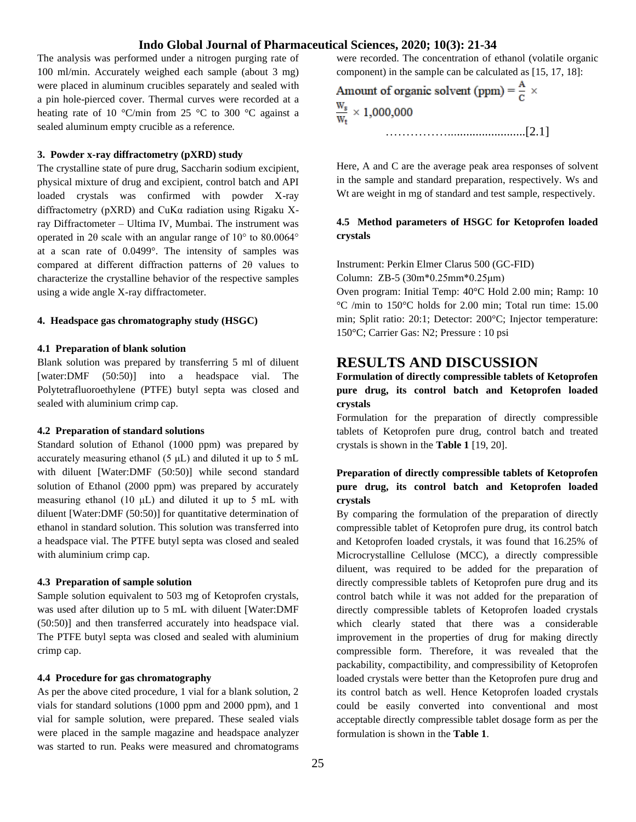The analysis was performed under a nitrogen purging rate of 100 ml/min. Accurately weighed each sample (about 3 mg) were placed in aluminum crucibles separately and sealed with a pin hole-pierced cover. Thermal curves were recorded at a heating rate of 10 °C/min from 25 °C to 300 °C against a sealed aluminum empty crucible as a reference.

### **3. Powder x-ray diffractometry (pXRD) study**

The crystalline state of pure drug, Saccharin sodium excipient, physical mixture of drug and excipient, control batch and API loaded crystals was confirmed with powder X-ray diffractometry (pXRD) and CuKα radiation using Rigaku Xray Diffractometer – Ultima IV, Mumbai. The instrument was operated in 2θ scale with an angular range of 10° to 80.0064° at a scan rate of 0.0499°. The intensity of samples was compared at different diffraction patterns of 2θ values to characterize the crystalline behavior of the respective samples using a wide angle X-ray diffractometer.

#### **4. Headspace gas chromatography study (HSGC)**

#### **4.1 Preparation of blank solution**

Blank solution was prepared by transferring 5 ml of diluent [water:DMF (50:50)] into a headspace vial. The Polytetrafluoroethylene (PTFE) butyl septa was closed and sealed with aluminium crimp cap.

#### **4.2 Preparation of standard solutions**

Standard solution of Ethanol (1000 ppm) was prepared by accurately measuring ethanol (5 μL) and diluted it up to 5 mL with diluent [Water:DMF (50:50)] while second standard solution of Ethanol (2000 ppm) was prepared by accurately measuring ethanol (10  $\mu$ L) and diluted it up to 5 mL with diluent [Water:DMF (50:50)] for quantitative determination of ethanol in standard solution. This solution was transferred into a headspace vial. The PTFE butyl septa was closed and sealed with aluminium crimp cap.

#### **4.3 Preparation of sample solution**

Sample solution equivalent to 503 mg of Ketoprofen crystals, was used after dilution up to 5 mL with diluent [Water:DMF (50:50)] and then transferred accurately into headspace vial. The PTFE butyl septa was closed and sealed with aluminium crimp cap.

#### **4.4 Procedure for gas chromatography**

As per the above cited procedure, 1 vial for a blank solution, 2 vials for standard solutions (1000 ppm and 2000 ppm), and 1 vial for sample solution, were prepared. These sealed vials were placed in the sample magazine and headspace analyzer was started to run. Peaks were measured and chromatograms

were recorded. The concentration of ethanol (volatile organic component) in the sample can be calculated as [15, 17, 18]:

Amount of organic solvent (ppm) =  $\frac{A}{C}$  ×  $\frac{W_s}{W_s} \times 1,000,000$ …………….........................[2.1]

Here, A and C are the average peak area responses of solvent in the sample and standard preparation, respectively. Ws and Wt are weight in mg of standard and test sample, respectively.

## **4.5 Method parameters of HSGC for Ketoprofen loaded crystals**

Instrument: Perkin Elmer Clarus 500 (GC-FID)

Column: ZB-5 (30m\*0.25mm\*0.25μm)

Oven program: Initial Temp: 40°C Hold 2.00 min; Ramp: 10 °C /min to 150°C holds for 2.00 min; Total run time: 15.00 min; Split ratio: 20:1; Detector: 200°C; Injector temperature: 150°C; Carrier Gas: N2; Pressure : 10 psi

## **RESULTS AND DISCUSSION**

## **Formulation of directly compressible tablets of Ketoprofen pure drug, its control batch and Ketoprofen loaded crystals**

Formulation for the preparation of directly compressible tablets of Ketoprofen pure drug, control batch and treated crystals is shown in the **Table 1** [19, 20].

## **Preparation of directly compressible tablets of Ketoprofen pure drug, its control batch and Ketoprofen loaded crystals**

By comparing the formulation of the preparation of directly compressible tablet of Ketoprofen pure drug, its control batch and Ketoprofen loaded crystals, it was found that 16.25% of Microcrystalline Cellulose (MCC), a directly compressible diluent, was required to be added for the preparation of directly compressible tablets of Ketoprofen pure drug and its control batch while it was not added for the preparation of directly compressible tablets of Ketoprofen loaded crystals which clearly stated that there was a considerable improvement in the properties of drug for making directly compressible form. Therefore, it was revealed that the packability, compactibility, and compressibility of Ketoprofen loaded crystals were better than the Ketoprofen pure drug and its control batch as well. Hence Ketoprofen loaded crystals could be easily converted into conventional and most acceptable directly compressible tablet dosage form as per the formulation is shown in the **Table 1**.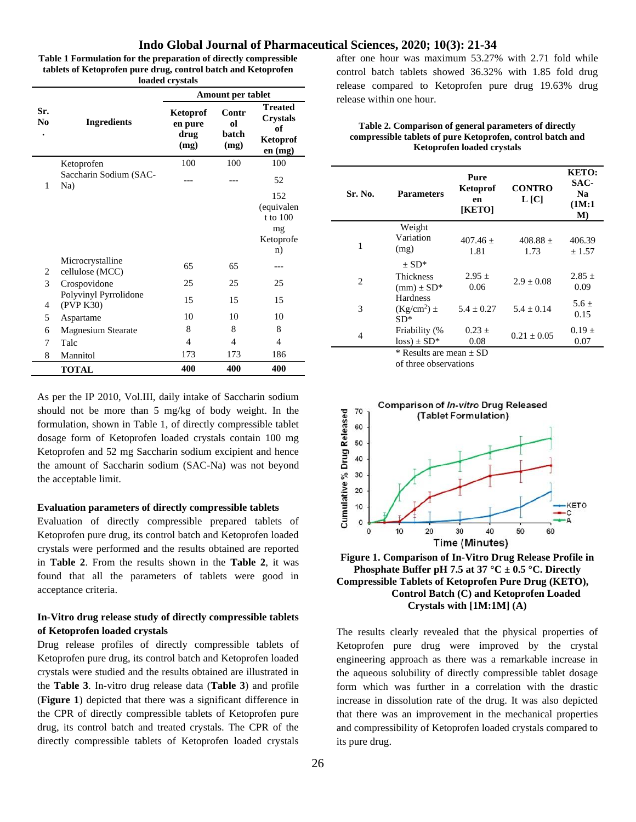**Table 1 Formulation for the preparation of directly compressible tablets of Ketoprofen pure drug, control batch and Ketoprofen loaded crystals**

|                       | <b>Ingredients</b>                  | Amount per tablet                          |                              |                                                                |  |
|-----------------------|-------------------------------------|--------------------------------------------|------------------------------|----------------------------------------------------------------|--|
| Sr.<br>N <sub>0</sub> |                                     | <b>Ketoprof</b><br>en pure<br>drug<br>(mg) | Contr<br>ol<br>batch<br>(mg) | <b>Treated</b><br><b>Crystals</b><br>of<br>Ketoprof<br>en (mg) |  |
|                       | Ketoprofen                          | 100                                        | 100                          | 100                                                            |  |
| 1                     | Saccharin Sodium (SAC-<br>Na)       |                                            |                              | 52                                                             |  |
|                       |                                     |                                            |                              | 152<br>(equivalen<br>t to 100<br>mg<br>Ketoprofe<br>n)         |  |
| 2                     | Microcrystalline<br>cellulose (MCC) | 65                                         | 65                           |                                                                |  |
| 3                     | Crospovidone                        | 25                                         | 25                           | 25                                                             |  |
| 4                     | Polyvinyl Pyrrolidone<br>(PVP K30)  | 15                                         | 15                           | 15                                                             |  |
| 5                     | Aspartame                           | 10                                         | 10                           | 10                                                             |  |
| 6                     | <b>Magnesium Stearate</b>           | 8                                          | 8                            | 8                                                              |  |
| 7                     | Talc                                | $\overline{4}$                             | $\overline{4}$               | 4                                                              |  |
| 8                     | Mannitol                            | 173                                        | 173                          | 186                                                            |  |
|                       | <b>TOTAL</b>                        | 400                                        | 400                          | 400                                                            |  |

As per the IP 2010, Vol.III, daily intake of Saccharin sodium should not be more than 5 mg/kg of body weight. In the formulation, shown in Table 1, of directly compressible tablet dosage form of Ketoprofen loaded crystals contain 100 mg Ketoprofen and 52 mg Saccharin sodium excipient and hence the amount of Saccharin sodium (SAC-Na) was not beyond the acceptable limit.

#### **Evaluation parameters of directly compressible tablets**

Evaluation of directly compressible prepared tablets of Ketoprofen pure drug, its control batch and Ketoprofen loaded crystals were performed and the results obtained are reported in **Table 2**. From the results shown in the **Table 2**, it was found that all the parameters of tablets were good in acceptance criteria.

## **In-Vitro drug release study of directly compressible tablets of Ketoprofen loaded crystals**

Drug release profiles of directly compressible tablets of Ketoprofen pure drug, its control batch and Ketoprofen loaded crystals were studied and the results obtained are illustrated in the **Table 3**. In-vitro drug release data (**Table 3**) and profile (**Figure 1**) depicted that there was a significant difference in the CPR of directly compressible tablets of Ketoprofen pure drug, its control batch and treated crystals. The CPR of the directly compressible tablets of Ketoprofen loaded crystals

26

after one hour was maximum 53.27% with 2.71 fold while control batch tablets showed 36.32% with 1.85 fold drug release compared to Ketoprofen pure drug 19.63% drug release within one hour.

#### **Table 2. Comparison of general parameters of directly compressible tablets of pure Ketoprofen, control batch and Ketoprofen loaded crystals**

| Sr. No.        | <b>Parameters</b>                         | Pure<br>Ketoprof<br>en<br>[KETO] | <b>CONTRO</b><br>L [C] | <b>KETO:</b><br>SAC-<br>N <sub>a</sub><br>(1M:1)<br>$\mathbf{M}$ |
|----------------|-------------------------------------------|----------------------------------|------------------------|------------------------------------------------------------------|
| 1              | Weight<br>Variation<br>(mg)               | $407.46 +$<br>1.81               | $408.88 +$<br>1.73     | 406.39<br>± 1.57                                                 |
| $\overline{2}$ | $+ SD^*$<br>Thickness<br>$(mm) \pm SD^*$  | $2.95 \pm$<br>0.06               | $2.9 + 0.08$           | $2.85 \pm$<br>0.09                                               |
| 3              | <b>Hardness</b><br>$(Kg/cm^2)$ ±<br>$SD*$ | $5.4 + 0.27$                     | $5.4 + 0.14$           | $5.6+$<br>0.15                                                   |
| 4              | Friability (%<br>$loss) \pm SD^*$         | $0.23 \pm$<br>0.08               | $0.21 + 0.05$          | $0.19 \pm$<br>0.07                                               |

of three observations



**Figure 1. Comparison of In-Vitro Drug Release Profile in Phosphate Buffer pH 7.5 at 37 °C**  $\pm$  **0.5 °C. Directly Compressible Tablets of Ketoprofen Pure Drug (KETO), Control Batch (C) and Ketoprofen Loaded Crystals with [1M:1M] (A)**

The results clearly revealed that the physical properties of Ketoprofen pure drug were improved by the crystal engineering approach as there was a remarkable increase in the aqueous solubility of directly compressible tablet dosage form which was further in a correlation with the drastic increase in dissolution rate of the drug. It was also depicted that there was an improvement in the mechanical properties and compressibility of Ketoprofen loaded crystals compared to its pure drug.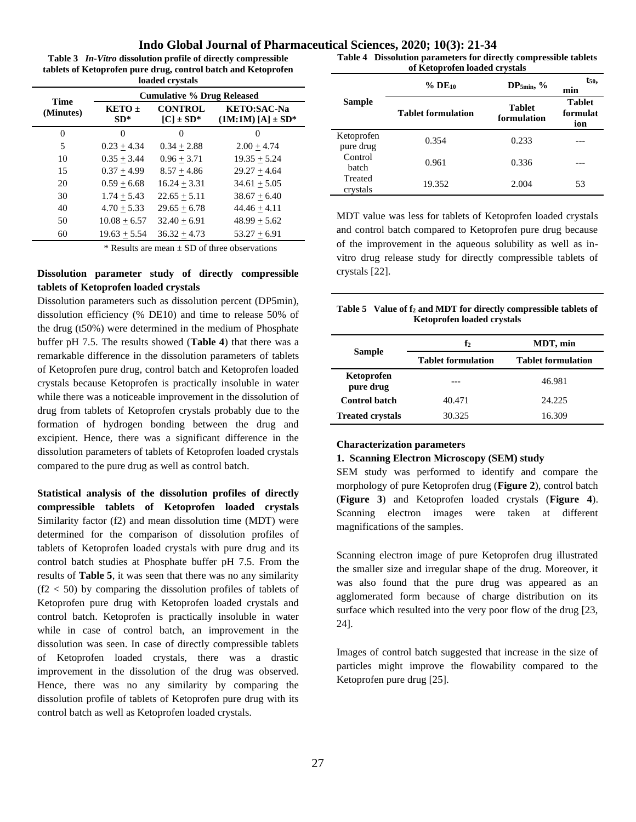**Table 3** *In-Vitro* **dissolution profile of directly compressible tablets of Ketoprofen pure drug, control batch and Ketoprofen loaded crystals**

| <b>Time</b> | <b>Cumulative % Drug Released</b> |                                  |                                              |  |
|-------------|-----------------------------------|----------------------------------|----------------------------------------------|--|
| (Minutes)   | $KETO+$<br>$SD^*$                 | <b>CONTROL</b><br>$[C] \pm SD^*$ | <b>KETO:SAC-Na</b><br>$(1M:1M) [A] \pm SD^*$ |  |
| $\theta$    | 0                                 |                                  |                                              |  |
| 5           | $0.23 + 4.34$                     | $0.34 + 2.88$                    | $2.00 + 4.74$                                |  |
| 10          | $0.35 + 3.44$                     | $0.96 + 3.71$                    | $19.35 + 5.24$                               |  |
| 15          | $0.37 + 4.99$                     | $8.57 + 4.86$                    | $29.27 + 4.64$                               |  |
| 20          | $0.59 + 6.68$                     | $16.24 + 3.31$                   | $34.61 + 5.05$                               |  |
| 30          | $1.74 + 5.43$                     | $22.65 + 5.11$                   | $38.67 + 6.40$                               |  |
| 40          | $4.70 + 5.33$                     | $29.65 \pm 6.78$                 | $44.46 + 4.11$                               |  |
| 50          | $10.08 + 6.57$                    | $32.40 + 6.91$                   | $48.99 + 5.62$                               |  |
| 60          | $19.63 + 5.54$                    | $36.32 + 4.73$                   | $53.27 + 6.91$                               |  |

 $*$  Results are mean  $\pm$  SD of three observations

## **Dissolution parameter study of directly compressible tablets of Ketoprofen loaded crystals**

Dissolution parameters such as dissolution percent (DP5min), dissolution efficiency (% DE10) and time to release 50% of the drug (t50%) were determined in the medium of Phosphate buffer pH 7.5. The results showed (**Table 4**) that there was a remarkable difference in the dissolution parameters of tablets of Ketoprofen pure drug, control batch and Ketoprofen loaded crystals because Ketoprofen is practically insoluble in water while there was a noticeable improvement in the dissolution of drug from tablets of Ketoprofen crystals probably due to the formation of hydrogen bonding between the drug and excipient. Hence, there was a significant difference in the dissolution parameters of tablets of Ketoprofen loaded crystals compared to the pure drug as well as control batch.

**Statistical analysis of the dissolution profiles of directly compressible tablets of Ketoprofen loaded crystals** Similarity factor (f2) and mean dissolution time (MDT) were determined for the comparison of dissolution profiles of tablets of Ketoprofen loaded crystals with pure drug and its control batch studies at Phosphate buffer pH 7.5. From the results of **Table 5**, it was seen that there was no any similarity  $(f2 < 50)$  by comparing the dissolution profiles of tablets of Ketoprofen pure drug with Ketoprofen loaded crystals and control batch. Ketoprofen is practically insoluble in water while in case of control batch, an improvement in the dissolution was seen. In case of directly compressible tablets of Ketoprofen loaded crystals, there was a drastic improvement in the dissolution of the drug was observed. Hence, there was no any similarity by comparing the dissolution profile of tablets of Ketoprofen pure drug with its control batch as well as Ketoprofen loaded crystals.

**Table 4 Dissolution parameters for directly compressible tablets of Ketoprofen loaded crystals**

|                         | $%$ DE <sub>10</sub>      | $DP_{5min}$ , %              | $t_{50}$<br>min                  |
|-------------------------|---------------------------|------------------------------|----------------------------------|
| <b>Sample</b>           | <b>Tablet formulation</b> | <b>Tablet</b><br>formulation | <b>Tablet</b><br>formulat<br>ion |
| Ketoprofen<br>pure drug | 0.354                     | 0.233                        |                                  |
| Control<br>batch        | 0.961                     | 0.336                        |                                  |
| Treated<br>crystals     | 19.352                    | 2.004                        | 53                               |

MDT value was less for tablets of Ketoprofen loaded crystals and control batch compared to Ketoprofen pure drug because of the improvement in the aqueous solubility as well as invitro drug release study for directly compressible tablets of crystals [22].

#### **Table 5 Value of f<sup>2</sup> and MDT for directly compressible tablets of Ketoprofen loaded crystals**

|                         | $\mathbf{f}_2$            | MDT, min                  |  |
|-------------------------|---------------------------|---------------------------|--|
| <b>Sample</b>           | <b>Tablet formulation</b> | <b>Tablet formulation</b> |  |
| Ketoprofen<br>pure drug |                           | 46.981                    |  |
| <b>Control batch</b>    | 40.471                    | 24.225                    |  |
| <b>Treated crystals</b> | 30.325                    | 16.309                    |  |

## **Characterization parameters**

#### **1. Scanning Electron Microscopy (SEM) study**

SEM study was performed to identify and compare the morphology of pure Ketoprofen drug (**Figure 2**), control batch (**Figure 3**) and Ketoprofen loaded crystals (**Figure 4**). Scanning electron images were taken at different magnifications of the samples.

Scanning electron image of pure Ketoprofen drug illustrated the smaller size and irregular shape of the drug. Moreover, it was also found that the pure drug was appeared as an agglomerated form because of charge distribution on its surface which resulted into the very poor flow of the drug [23, 24].

Images of control batch suggested that increase in the size of particles might improve the flowability compared to the Ketoprofen pure drug [25].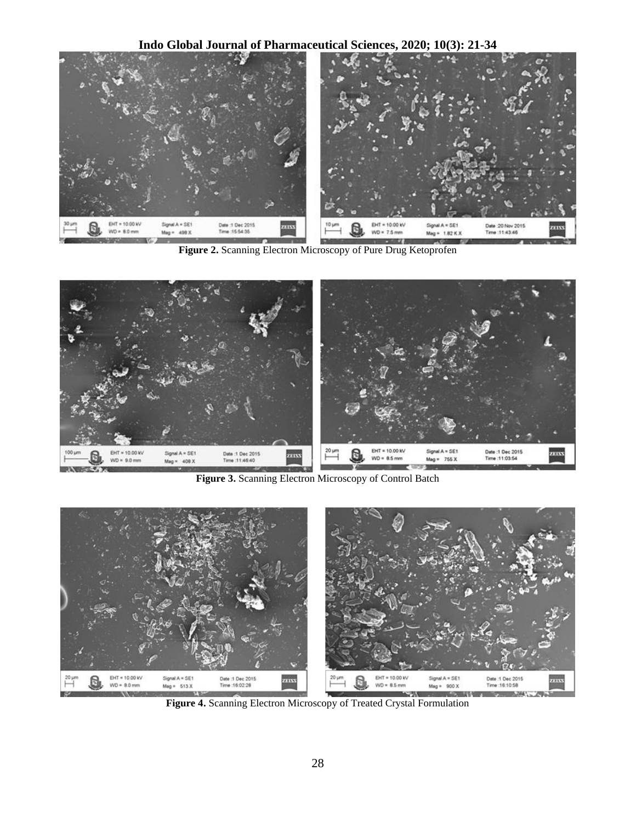**Indo Global Journal of Pharmaceutical Sciences, 2020; 10(3): 21-34**



**Figure 2.** Scanning Electron Microscopy of Pure Drug Ketoprofen



**Figure 3.** Scanning Electron Microscopy of Control Batch



**Figure 4.** Scanning Electron Microscopy of Treated Crystal Formulation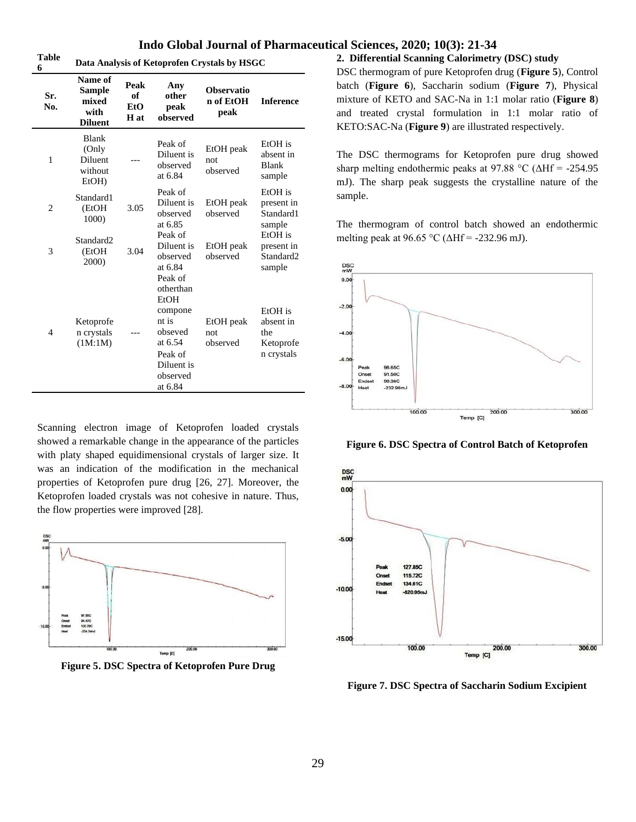**Table 6 Data Analysis of Ketoprofen Crystals by HSGC**

| v<br>Sr.<br>No. | Name of<br><b>Sample</b><br>mixed<br>with<br><b>Diluent</b> | Peak<br>of<br>EtO<br>H at | Any<br>other<br>peak<br>observed                                                                                       | <b>Observatio</b><br>n of EtOH<br>peak | <b>Inference</b>                                         |
|-----------------|-------------------------------------------------------------|---------------------------|------------------------------------------------------------------------------------------------------------------------|----------------------------------------|----------------------------------------------------------|
| 1               | Blank<br>(Only<br><b>Diluent</b><br>without<br>$EtOH$ )     |                           | Peak of<br>Diluent is<br>observed<br>at 6.84                                                                           | EtOH peak<br>not<br>observed           | EtOH is<br>absent in<br><b>Blank</b><br>sample           |
| $\overline{c}$  | Standard1<br>(EtOH<br>1000)                                 | 3.05                      | Peak of<br>Diluent is<br>observed<br>at 6.85                                                                           | EtOH peak<br>observed                  | EtOH is<br>present in<br>Standard1<br>sample             |
| 3               | Standard <sub>2</sub><br>(EtOH<br>2000)                     | 3.04                      | Peak of<br>Diluent is<br>observed<br>at 6.84                                                                           | EtOH peak<br>observed                  | EtOH is<br>present in<br>Standard <sub>2</sub><br>sample |
| $\overline{4}$  | Ketoprofe<br>n crystals<br>(1M:1M)                          |                           | Peak of<br>otherthan<br>EtOH<br>compone<br>nt is<br>obseved<br>at 6.54<br>Peak of<br>Diluent is<br>observed<br>at 6.84 | EtOH peak<br>not<br>observed           | EtOH is<br>absent in<br>the<br>Ketoprofe<br>n crystals   |

Scanning electron image of Ketoprofen loaded crystals showed a remarkable change in the appearance of the particles with platy shaped equidimensional crystals of larger size. It was an indication of the modification in the mechanical properties of Ketoprofen pure drug [26, 27]. Moreover, the Ketoprofen loaded crystals was not cohesive in nature. Thus, the flow properties were improved [28].



**Figure 5. DSC Spectra of Ketoprofen Pure Drug**

#### **2. Differential Scanning Calorimetry (DSC) study**

DSC thermogram of pure Ketoprofen drug (**Figure 5**), Control batch (**Figure 6**), Saccharin sodium (**Figure 7**), Physical mixture of KETO and SAC-Na in 1:1 molar ratio (**Figure 8**) and treated crystal formulation in 1:1 molar ratio of KETO:SAC-Na (**Figure 9**) are illustrated respectively.

The DSC thermograms for Ketoprofen pure drug showed sharp melting endothermic peaks at 97.88 °C ( $\Delta Hf = -254.95$ ) mJ). The sharp peak suggests the crystalline nature of the sample.

The thermogram of control batch showed an endothermic melting peak at 96.65 °C ( $\triangle Hf = -232.96$  mJ).



**Figure 6. DSC Spectra of Control Batch of Ketoprofen**



**Figure 7. DSC Spectra of Saccharin Sodium Excipient**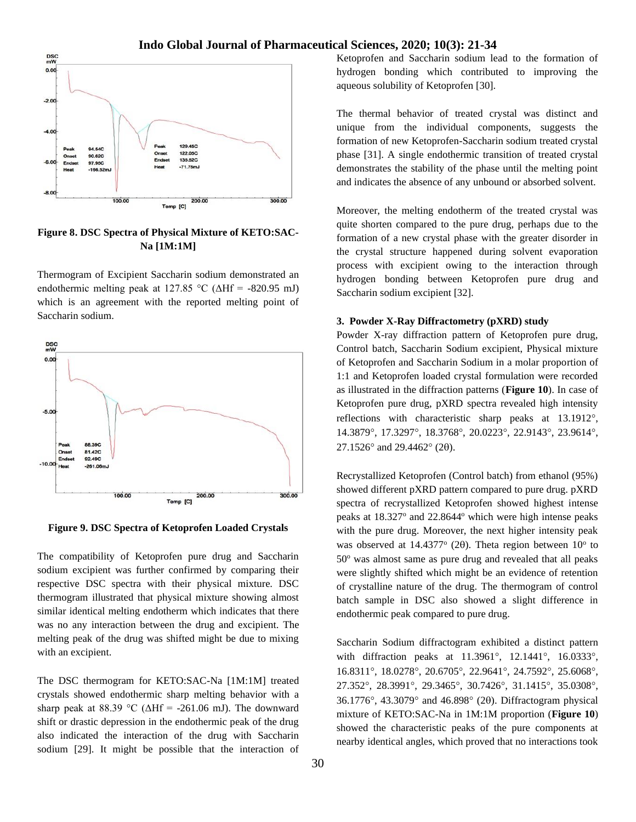

**Figure 8. DSC Spectra of Physical Mixture of KETO:SAC-Na [1M:1M]**

Thermogram of Excipient Saccharin sodium demonstrated an endothermic melting peak at 127.85 °C ( $\triangle Hf = -820.95$  mJ) which is an agreement with the reported melting point of Saccharin sodium.



**Figure 9. DSC Spectra of Ketoprofen Loaded Crystals**

The compatibility of Ketoprofen pure drug and Saccharin sodium excipient was further confirmed by comparing their respective DSC spectra with their physical mixture. DSC thermogram illustrated that physical mixture showing almost similar identical melting endotherm which indicates that there was no any interaction between the drug and excipient. The melting peak of the drug was shifted might be due to mixing with an excipient.

The DSC thermogram for KETO:SAC-Na [1M:1M] treated crystals showed endothermic sharp melting behavior with a sharp peak at 88.39 °C ( $\Delta Hf = -261.06$  mJ). The downward shift or drastic depression in the endothermic peak of the drug also indicated the interaction of the drug with Saccharin sodium [29]. It might be possible that the interaction of Ketoprofen and Saccharin sodium lead to the formation of hydrogen bonding which contributed to improving the aqueous solubility of Ketoprofen [30].

The thermal behavior of treated crystal was distinct and unique from the individual components, suggests the formation of new Ketoprofen-Saccharin sodium treated crystal phase [31]. A single endothermic transition of treated crystal demonstrates the stability of the phase until the melting point and indicates the absence of any unbound or absorbed solvent.

Moreover, the melting endotherm of the treated crystal was quite shorten compared to the pure drug, perhaps due to the formation of a new crystal phase with the greater disorder in the crystal structure happened during solvent evaporation process with excipient owing to the interaction through hydrogen bonding between Ketoprofen pure drug and Saccharin sodium excipient [32].

#### **3. Powder X-Ray Diffractometry (pXRD) study**

Powder X-ray diffraction pattern of Ketoprofen pure drug, Control batch, Saccharin Sodium excipient, Physical mixture of Ketoprofen and Saccharin Sodium in a molar proportion of 1:1 and Ketoprofen loaded crystal formulation were recorded as illustrated in the diffraction patterns (**Figure 10**). In case of Ketoprofen pure drug, pXRD spectra revealed high intensity reflections with characteristic sharp peaks at 13.1912°, 14.3879°, 17.3297°, 18.3768°, 20.0223°, 22.9143°, 23.9614°,  $27.1526^{\circ}$  and  $29.4462^{\circ}$  (20).

Recrystallized Ketoprofen (Control batch) from ethanol (95%) showed different pXRD pattern compared to pure drug. pXRD spectra of recrystallized Ketoprofen showed highest intense peaks at 18.327° and 22.8644° which were high intense peaks with the pure drug. Moreover, the next higher intensity peak was observed at  $14.4377^{\circ}$  (20). Theta region between  $10^{\circ}$  to  $50^\circ$  was almost same as pure drug and revealed that all peaks were slightly shifted which might be an evidence of retention of crystalline nature of the drug. The thermogram of control batch sample in DSC also showed a slight difference in endothermic peak compared to pure drug.

Saccharin Sodium diffractogram exhibited a distinct pattern with diffraction peaks at 11.3961°, 12.1441°, 16.0333°, 16.8311°, 18.0278°, 20.6705°, 22.9641°, 24.7592°, 25.6068°, 27.352°, 28.3991°, 29.3465°, 30.7426°, 31.1415°, 35.0308°,  $36.1776^{\circ}$ ,  $43.3079^{\circ}$  and  $46.898^{\circ}$  (2 $\theta$ ). Diffractogram physical mixture of KETO:SAC-Na in 1M:1M proportion (**Figure 10**) showed the characteristic peaks of the pure components at nearby identical angles, which proved that no interactions took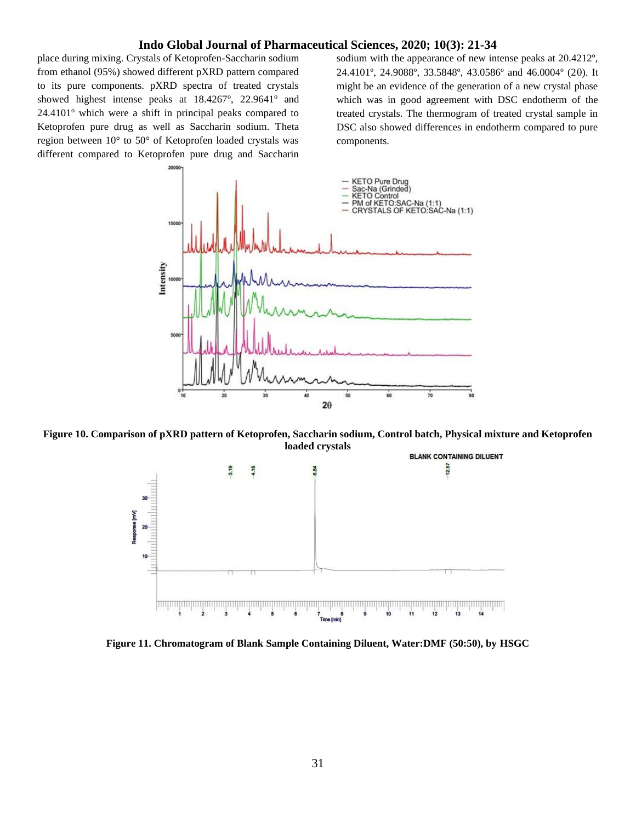place during mixing. Crystals of Ketoprofen-Saccharin sodium from ethanol (95%) showed different pXRD pattern compared to its pure components. pXRD spectra of treated crystals showed highest intense peaks at  $18.4267^{\circ}$ ,  $22.9641^{\circ}$  and  $24.4101^\circ$  which were a shift in principal peaks compared to Ketoprofen pure drug as well as Saccharin sodium. Theta region between 10° to 50° of Ketoprofen loaded crystals was different compared to Ketoprofen pure drug and Saccharin

sodium with the appearance of new intense peaks at 20.4212º, 24.4101º, 24.9088º, 33.5848º, 43.0586º and 46.0004º (2). It might be an evidence of the generation of a new crystal phase which was in good agreement with DSC endotherm of the treated crystals. The thermogram of treated crystal sample in DSC also showed differences in endotherm compared to pure components.



**Figure 10. Comparison of pXRD pattern of Ketoprofen, Saccharin sodium, Control batch, Physical mixture and Ketoprofen loaded crystals**



**Figure 11. Chromatogram of Blank Sample Containing Diluent, Water:DMF (50:50), by HSGC**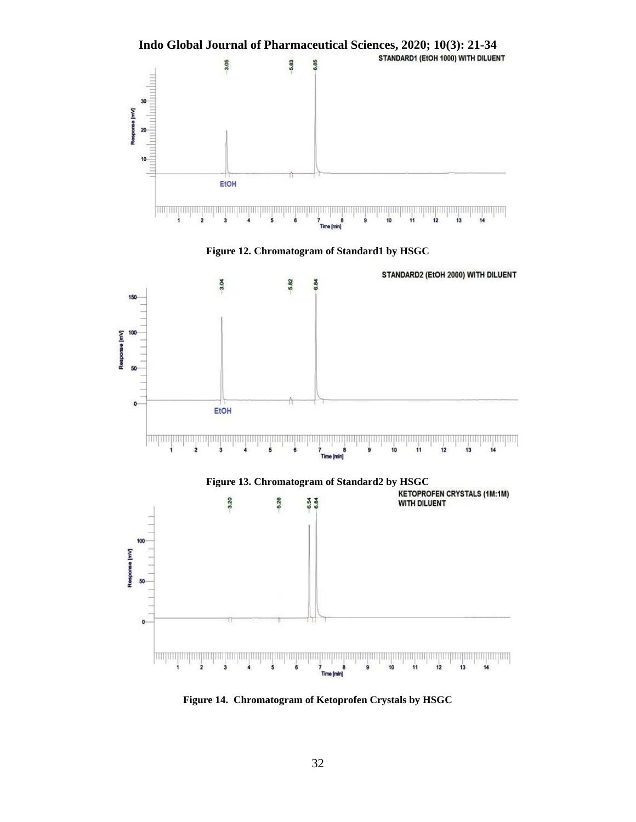

**Figure 12. Chromatogram of Standard1 by HSGC**



**Figure 14. Chromatogram of Ketoprofen Crystals by HSGC**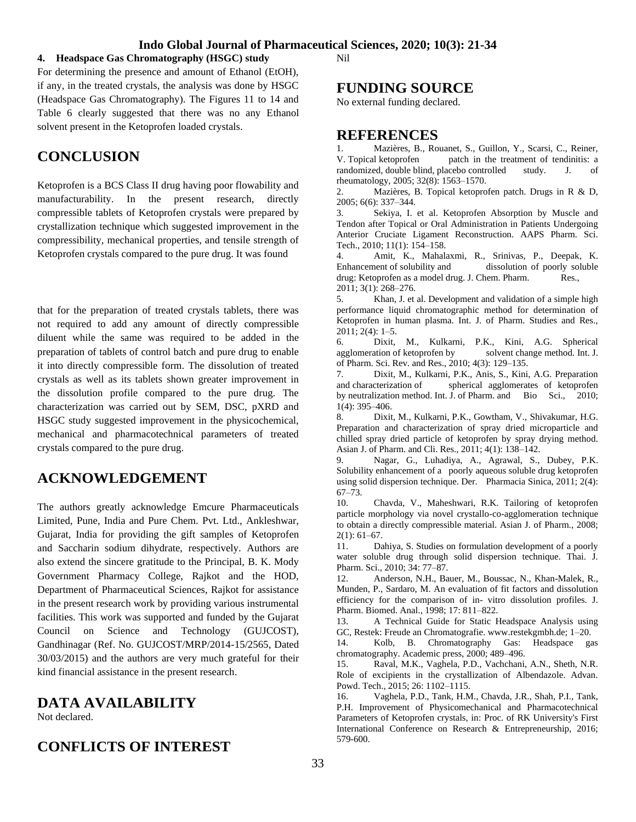## **4. Headspace Gas Chromatography (HSGC) study**

For determining the presence and amount of Ethanol (EtOH), if any, in the treated crystals, the analysis was done by HSGC (Headspace Gas Chromatography). The Figures 11 to 14 and Table 6 clearly suggested that there was no any Ethanol solvent present in the Ketoprofen loaded crystals.

## **CONCLUSION**

Ketoprofen is a BCS Class II drug having poor flowability and manufacturability. In the present research, directly compressible tablets of Ketoprofen crystals were prepared by crystallization technique which suggested improvement in the compressibility, mechanical properties, and tensile strength of Ketoprofen crystals compared to the pure drug. It was found

that for the preparation of treated crystals tablets, there was not required to add any amount of directly compressible diluent while the same was required to be added in the preparation of tablets of control batch and pure drug to enable it into directly compressible form. The dissolution of treated crystals as well as its tablets shown greater improvement in the dissolution profile compared to the pure drug. The characterization was carried out by SEM, DSC, pXRD and HSGC study suggested improvement in the physicochemical, mechanical and pharmacotechnical parameters of treated crystals compared to the pure drug.

## **ACKNOWLEDGEMENT**

The authors greatly acknowledge Emcure Pharmaceuticals Limited, Pune, India and Pure Chem. Pvt. Ltd., Ankleshwar, Gujarat, India for providing the gift samples of Ketoprofen and Saccharin sodium dihydrate, respectively. Authors are also extend the sincere gratitude to the Principal, B. K. Mody Government Pharmacy College, Rajkot and the HOD, Department of Pharmaceutical Sciences, Rajkot for assistance in the present research work by providing various instrumental facilities. This work was supported and funded by the Gujarat Council on Science and Technology (GUJCOST), Gandhinagar (Ref. No. GUJCOST/MRP/2014-15/2565, Dated 30/03/2015) and the authors are very much grateful for their kind financial assistance in the present research.

## **DATA AVAILABILITY**

Not declared.

## **CONFLICTS OF INTEREST**

Nil

## **FUNDING SOURCE**

No external funding declared.

## **REFERENCES**

1. Mazières, B., Rouanet, S., Guillon, Y., Scarsi, C., Reiner, V. Topical ketoprofen patch in the treatment of tendinitis: a randomized, double blind, placebo controlled study. J. of rheumatology, 2005; 32(8): 1563–1570.

2. Mazières, B. Topical ketoprofen patch. Drugs in R & D, 2005; 6(6): 337–344.

3. Sekiya, I. et al. Ketoprofen Absorption by Muscle and Tendon after Topical or Oral Administration in Patients Undergoing Anterior Cruciate Ligament Reconstruction. AAPS Pharm. Sci. Tech., 2010; 11(1): 154–158.

4. Amit, K., Mahalaxmi, R., Srinivas, P., Deepak, K. Enhancement of solubility and dissolution of poorly soluble drug: Ketoprofen as a model drug. J. Chem. Pharm. Res., 2011; 3(1): 268–276.

5. Khan, J. et al. Development and validation of a simple high performance liquid chromatographic method for determination of Ketoprofen in human plasma. Int. J. of Pharm. Studies and Res., 2011; 2(4): 1–5.

6. Dixit, M., Kulkarni, P.K., Kini, A.G. Spherical agglomeration of ketoprofen by solvent change method. Int. J. of Pharm. Sci. Rev. and Res., 2010; 4(3): 129–135.

7. Dixit, M., Kulkarni, P.K., Anis, S., Kini, A.G. Preparation and characterization of spherical agglomerates of ketoprofen by neutralization method. Int. J. of Pharm. and Bio Sci., 2010; 1(4): 395–406.

8. Dixit, M., Kulkarni, P.K., Gowtham, V., Shivakumar, H.G. Preparation and characterization of spray dried microparticle and chilled spray dried particle of ketoprofen by spray drying method. Asian J. of Pharm. and Cli. Res., 2011; 4(1): 138–142.

9. Nagar, G., Luhadiya, A., Agrawal, S., Dubey, P.K. Solubility enhancement of a poorly aqueous soluble drug ketoprofen using solid dispersion technique. Der. Pharmacia Sinica, 2011; 2(4): 67–73.

10. Chavda, V., Maheshwari, R.K. Tailoring of ketoprofen particle morphology via novel crystallo-co-agglomeration technique to obtain a directly compressible material. Asian J. of Pharm., 2008;  $2(1): 61-67.$ 

11. Dahiya, S. Studies on formulation development of a poorly water soluble drug through solid dispersion technique. Thai. J. Pharm. Sci., 2010; 34: 77–87.

12. Anderson, N.H., Bauer, M., Boussac, N., Khan-Malek, R., Munden, P., Sardaro, M. An evaluation of fit factors and dissolution efficiency for the comparison of in- vitro dissolution profiles. J. Pharm. Biomed. Anal., 1998; 17: 811–822.

13. A Technical Guide for Static Headspace Analysis using GC, Restek: Freude an Chromatografie. www.restekgmbh.de; 1–20.

14. Kolb, B. Chromatography Gas: Headspace gas chromatography. Academic press, 2000; 489–496.

15. Raval, M.K., Vaghela, P.D., Vachchani, A.N., Sheth, N.R. Role of excipients in the crystallization of Albendazole. Advan. Powd. Tech., 2015; 26: 1102–1115.

16. Vaghela, P.D., Tank, H.M., Chavda, J.R., Shah, P.I., Tank, P.H. Improvement of Physicomechanical and Pharmacotechnical Parameters of Ketoprofen crystals, in: Proc. of RK University's First International Conference on Research & Entrepreneurship, 2016; 579-600.